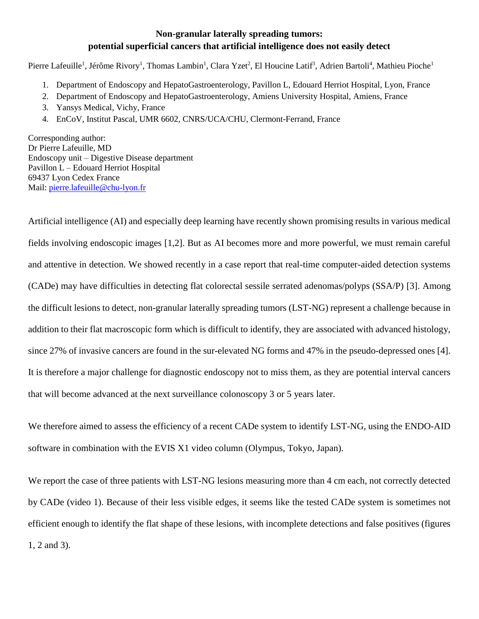## **Non-granular laterally spreading tumors: potential superficial cancers that artificial intelligence does not easily detect**

Pierre Lafeuille<sup>1</sup>, Jérôme Rivory<sup>1</sup>, Thomas Lambin<sup>1</sup>, Clara Yzet<sup>2</sup>, El Houcine Latif<sup>3</sup>, Adrien Bartoli<sup>4</sup>, Mathieu Pioche<sup>1</sup>

- 1. Department of Endoscopy and HepatoGastroenterology, Pavillon L, Edouard Herriot Hospital, Lyon, France
- 2. Department of Endoscopy and HepatoGastroenterology, Amiens University Hospital, Amiens, France
- 3. Yansys Medical, Vichy, France
- 4. EnCoV, Institut Pascal, UMR 6602, CNRS/UCA/CHU, Clermont-Ferrand, France

Corresponding author: Dr Pierre Lafeuille, MD Endoscopy unit – Digestive Disease department Pavillon L – Edouard Herriot Hospital 69437 Lyon Cedex France Mail: [pierre.lafeuille@chu-lyon.fr](mailto:pierre.lafeuille@chu-lyon.fr)

Artificial intelligence (AI) and especially deep learning have recently shown promising results in various medical fields involving endoscopic images [1,2]. But as AI becomes more and more powerful, we must remain careful and attentive in detection. We showed recently in a case report that real-time computer-aided detection systems (CADe) may have difficulties in detecting flat colorectal sessile serrated adenomas/polyps (SSA/P) [3]. Among the difficult lesions to detect, non-granular laterally spreading tumors (LST-NG) represent a challenge because in addition to their flat macroscopic form which is difficult to identify, they are associated with advanced histology, since 27% of invasive cancers are found in the sur-elevated NG forms and 47% in the pseudo-depressed ones [4]. It is therefore a major challenge for diagnostic endoscopy not to miss them, as they are potential interval cancers that will become advanced at the next surveillance colonoscopy 3 or 5 years later.

We therefore aimed to assess the efficiency of a recent CADe system to identify LST-NG, using the ENDO-AID software in combination with the EVIS X1 video column (Olympus, Tokyo, Japan).

We report the case of three patients with LST-NG lesions measuring more than 4 cm each, not correctly detected by CADe (video 1). Because of their less visible edges, it seems like the tested CADe system is sometimes not efficient enough to identify the flat shape of these lesions, with incomplete detections and false positives (figures 1, 2 and 3).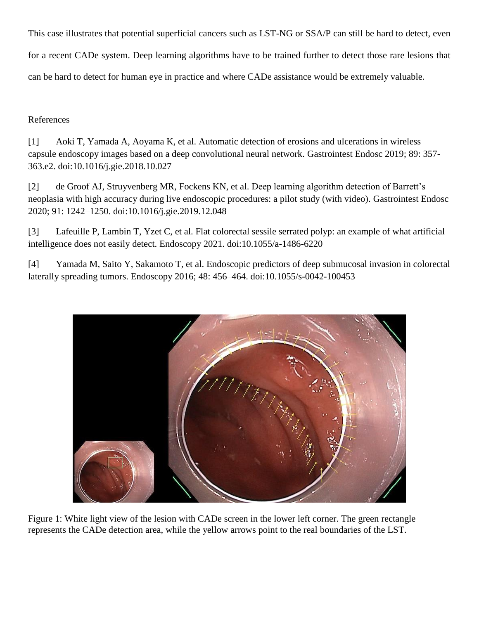This case illustrates that potential superficial cancers such as LST-NG or SSA/P can still be hard to detect, even for a recent CADe system. Deep learning algorithms have to be trained further to detect those rare lesions that can be hard to detect for human eye in practice and where CADe assistance would be extremely valuable.

## References

[1] Aoki T, Yamada A, Aoyama K, et al. Automatic detection of erosions and ulcerations in wireless capsule endoscopy images based on a deep convolutional neural network. Gastrointest Endosc 2019; 89: 357- 363.e2. doi:10.1016/j.gie.2018.10.027

[2] de Groof AJ, Struyvenberg MR, Fockens KN, et al. Deep learning algorithm detection of Barrett's neoplasia with high accuracy during live endoscopic procedures: a pilot study (with video). Gastrointest Endosc 2020; 91: 1242–1250. doi:10.1016/j.gie.2019.12.048

[3] Lafeuille P, Lambin T, Yzet C, et al. Flat colorectal sessile serrated polyp: an example of what artificial intelligence does not easily detect. Endoscopy 2021. doi:10.1055/a-1486-6220

[4] Yamada M, Saito Y, Sakamoto T, et al. Endoscopic predictors of deep submucosal invasion in colorectal laterally spreading tumors. Endoscopy 2016; 48: 456–464. doi:10.1055/s-0042-100453



Figure 1: White light view of the lesion with CADe screen in the lower left corner. The green rectangle represents the CADe detection area, while the yellow arrows point to the real boundaries of the LST.